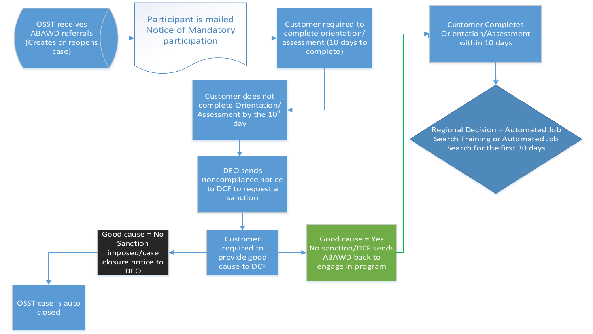